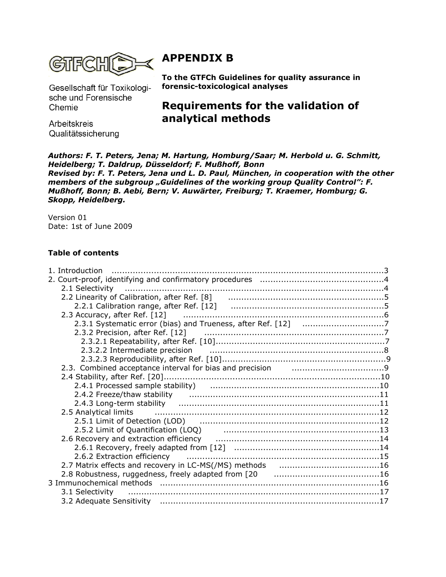

# **APPENDIX B**

Gesellschaft für Toxikologische und Forensische Chemie

Arbeitskreis Qualitätssicherung

**To the GTFCh Guidelines for quality assurance in forensic-toxicological analyses**

# **Requirements for the validation of analytical methods**

*Authors: F. T. Peters, Jena; M. Hartung, Homburg/Saar; M. Herbold u. G. Schmitt, Heidelberg; T. Daldrup, Düsseldorf; F. Mußhoff, Bonn Revised by: F. T. Peters, Jena und L. D. Paul, München, in cooperation with the other members of the subgroup "Guidelines of the working group Quality Control": F. Mußhoff, Bonn; B. Aebi, Bern; V. Auwärter, Freiburg; T. Kraemer, Homburg; G. Skopp, Heidelberg.*

Version 01 Date: 1st of June 2009

# **Table of contents**

| 2.3.2 Precision, after Ref. [12] [2010] [2010] [2.3.2 Precision, after Ref. [12]                                                                                                                                               |  |
|--------------------------------------------------------------------------------------------------------------------------------------------------------------------------------------------------------------------------------|--|
|                                                                                                                                                                                                                                |  |
| 2.3.2.2 Intermediate precision manufactured contains and the set of 8                                                                                                                                                          |  |
|                                                                                                                                                                                                                                |  |
|                                                                                                                                                                                                                                |  |
|                                                                                                                                                                                                                                |  |
| 2.4.1 Processed sample stability) (and according continuum control of 10                                                                                                                                                       |  |
|                                                                                                                                                                                                                                |  |
|                                                                                                                                                                                                                                |  |
| 2.5 Analytical limits <b>contract to the contract of the contract of the contract of the contract of the contract o</b>                                                                                                        |  |
|                                                                                                                                                                                                                                |  |
| 2.5.2 Limit of Quantification (LOQ) [1999] [1999] [1999] [1999] [1999] [1999] [1999] [1999] [1999] [1999] [19                                                                                                                  |  |
|                                                                                                                                                                                                                                |  |
|                                                                                                                                                                                                                                |  |
| 2.6.2 Extraction efficiency manufactured contracts and the contracts of the contract of the contract of the co                                                                                                                 |  |
|                                                                                                                                                                                                                                |  |
|                                                                                                                                                                                                                                |  |
|                                                                                                                                                                                                                                |  |
| 3.1 Selectivity manufactured and the control of the control of the control of the control of the control of the control of the control of the control of the control of the control of the control of the control of the contr |  |
|                                                                                                                                                                                                                                |  |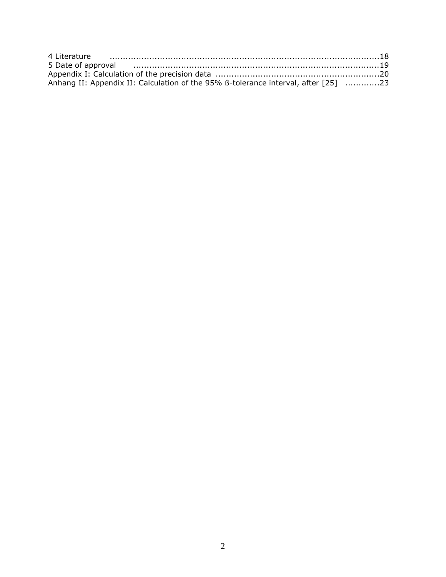| Anhang II: Appendix II: Calculation of the 95% B-tolerance interval, after [25] 23 |  |
|------------------------------------------------------------------------------------|--|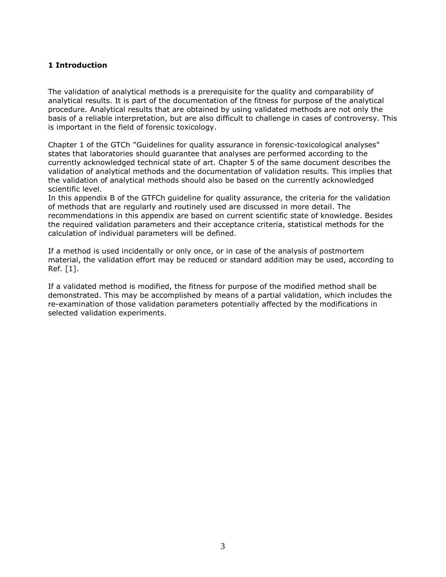### **1 Introduction**

The validation of analytical methods is a prerequisite for the quality and comparability of analytical results. It is part of the documentation of the fitness for purpose of the analytical procedure. Analytical results that are obtained by using validated methods are not only the basis of a reliable interpretation, but are also difficult to challenge in cases of controversy. This is important in the field of forensic toxicology.

Chapter 1 of the GTCh "Guidelines for quality assurance in forensic-toxicological analyses" states that laboratories should guarantee that analyses are performed according to the currently acknowledged technical state of art. Chapter 5 of the same document describes the validation of analytical methods and the documentation of validation results. This implies that the validation of analytical methods should also be based on the currently acknowledged scientific level.

In this appendix B of the GTFCh guideline for quality assurance, the criteria for the validation of methods that are regularly and routinely used are discussed in more detail. The recommendations in this appendix are based on current scientific state of knowledge. Besides the required validation parameters and their acceptance criteria, statistical methods for the calculation of individual parameters will be defined.

If a method is used incidentally or only once, or in case of the analysis of postmortem material, the validation effort may be reduced or standard addition may be used, according to Ref. [1].

If a validated method is modified, the fitness for purpose of the modified method shall be demonstrated. This may be accomplished by means of a partial validation, which includes the re-examination of those validation parameters potentially affected by the modifications in selected validation experiments.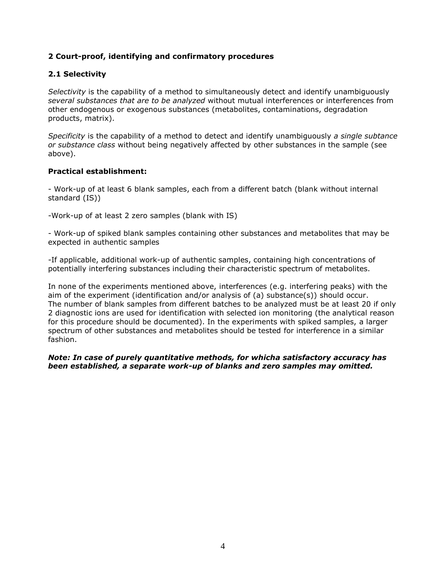# **2 Court-proof, identifying and confirmatory procedures**

# **2.1 Selectivity**

*Selectivity* is the capability of a method to simultaneously detect and identify unambiguously *several substances that are to be analyzed* without mutual interferences or interferences from other endogenous or exogenous substances (metabolites, contaminations, degradation products, matrix).

*Specificity* is the capability of a method to detect and identify unambiguously *a single subtance or substance class* without being negatively affected by other substances in the sample (see above).

#### **Practical establishment:**

- Work-up of at least 6 blank samples, each from a different batch (blank without internal standard (IS))

-Work-up of at least 2 zero samples (blank with IS)

- Work-up of spiked blank samples containing other substances and metabolites that may be expected in authentic samples

-If applicable, additional work-up of authentic samples, containing high concentrations of potentially interfering substances including their characteristic spectrum of metabolites.

In none of the experiments mentioned above, interferences (e.g. interfering peaks) with the aim of the experiment (identification and/or analysis of (a) substance(s)) should occur. The number of blank samples from different batches to be analyzed must be at least 20 if only 2 diagnostic ions are used for identification with selected ion monitoring (the analytical reason for this procedure should be documented). In the experiments with spiked samples, a larger spectrum of other substances and metabolites should be tested for interference in a similar fashion.

#### *Note: In case of purely quantitative methods, for whicha satisfactory accuracy has been established, a separate work-up of blanks and zero samples may omitted.*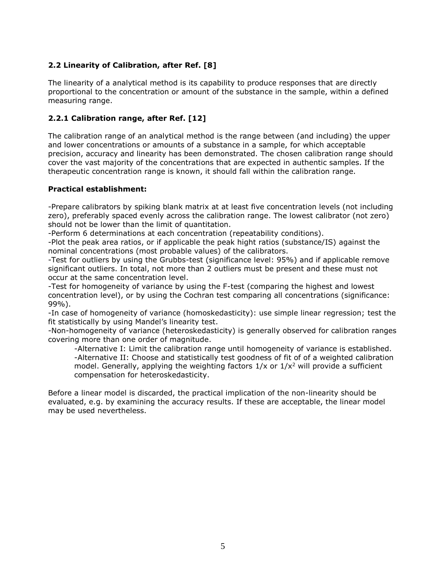# **2.2 Linearity of Calibration, after Ref. [8]**

The linearity of a analytical method is its capability to produce responses that are directly proportional to the concentration or amount of the substance in the sample, within a defined measuring range.

# **2.2.1 Calibration range, after Ref. [12]**

The calibration range of an analytical method is the range between (and including) the upper and lower concentrations or amounts of a substance in a sample, for which acceptable precision, accuracy and linearity has been demonstrated. The chosen calibration range should cover the vast majority of the concentrations that are expected in authentic samples. If the therapeutic concentration range is known, it should fall within the calibration range.

#### **Practical establishment:**

-Prepare calibrators by spiking blank matrix at at least five concentration levels (not including zero), preferably spaced evenly across the calibration range. The lowest calibrator (not zero) should not be lower than the limit of quantitation.

-Perform 6 determinations at each concentration (repeatability conditions).

-Plot the peak area ratios, or if applicable the peak hight ratios (substance/IS) against the nominal concentrations (most probable values) of the calibrators.

-Test for outliers by using the Grubbs-test (significance level: 95%) and if applicable remove significant outliers. In total, not more than 2 outliers must be present and these must not occur at the same concentration level.

-Test for homogeneity of variance by using the F-test (comparing the highest and lowest concentration level), or by using the Cochran test comparing all concentrations (significance: 99%).

-In case of homogeneity of variance (homoskedasticity): use simple linear regression; test the fit statistically by using Mandel's linearity test.

-Non-homogeneity of variance (heteroskedasticity) is generally observed for calibration ranges covering more than one order of magnitude.

-Alternative I: Limit the calibration range until homogeneity of variance is established. -Alternative II: Choose and statistically test goodness of fit of of a weighted calibration model. Generally, applying the weighting factors  $1/x$  or  $1/x<sup>2</sup>$  will provide a sufficient compensation for heteroskedasticity.

Before a linear model is discarded, the practical implication of the non-linearity should be evaluated, e.g. by examining the accuracy results. If these are acceptable, the linear model may be used nevertheless.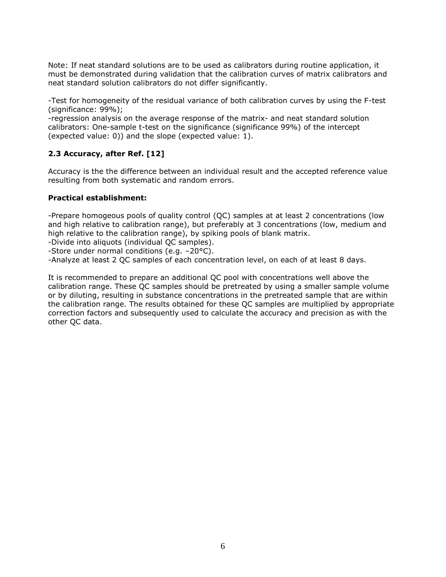Note: If neat standard solutions are to be used as calibrators during routine application, it must be demonstrated during validation that the calibration curves of matrix calibrators and neat standard solution calibrators do not differ significantly.

-Test for homogeneity of the residual variance of both calibration curves by using the F-test (significance: 99%);

-regression analysis on the average response of the matrix- and neat standard solution calibrators: One-sample t-test on the significance (significance 99%) of the intercept (expected value: 0)) and the slope (expected value: 1).

# **2.3 Accuracy, after Ref. [12]**

Accuracy is the the difference between an individual result and the accepted reference value resulting from both systematic and random errors.

#### **Practical establishment:**

-Prepare homogeous pools of quality control (QC) samples at at least 2 concentrations (low and high relative to calibration range), but preferably at 3 concentrations (low, medium and high relative to the calibration range), by spiking pools of blank matrix.

-Divide into aliquots (individual QC samples).

-Store under normal conditions (e.g. –20°C).

-Analyze at least 2 QC samples of each concentration level, on each of at least 8 days.

It is recommended to prepare an additional QC pool with concentrations well above the calibration range. These QC samples should be pretreated by using a smaller sample volume or by diluting, resulting in substance concentrations in the pretreated sample that are within the calibration range. The results obtained for these QC samples are multiplied by appropriate correction factors and subsequently used to calculate the accuracy and precision as with the other QC data.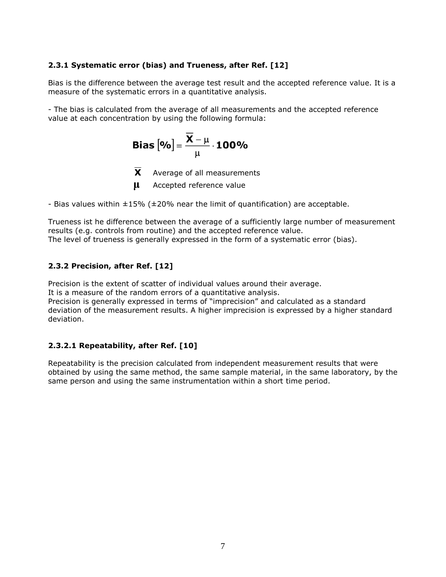# **2.3.1 Systematic error (bias) and Trueness, after Ref. [12]**

Bias is the difference between the average test result and the accepted reference value. It is a measure of the systematic errors in a quantitative analysis.

- The bias is calculated from the average of all measurements and the accepted reference value at each concentration by using the following formula:

$$
\text{Bias}\left[\text{%}\right] = \frac{\overline{X} - \mu}{\mu} \cdot \text{100\%}
$$

 $\overline{\mathbf{X}}$  Average of all measurements

**μ** Accepted reference value

- Bias values within ±15% (±20% near the limit of quantification) are acceptable.

Trueness ist he difference between the average of a sufficiently large number of measurement results (e.g. controls from routine) and the accepted reference value. The level of trueness is generally expressed in the form of a systematic error (bias).

# **2.3.2 Precision, after Ref. [12]**

Precision is the extent of scatter of individual values around their average.

It is a measure of the random errors of a quantitative analysis.

Precision is generally expressed in terms of "imprecision" and calculated as a standard deviation of the measurement results. A higher imprecision is expressed by a higher standard deviation.

# **2.3.2.1 Repeatability, after Ref. [10]**

Repeatability is the precision calculated from independent measurement results that were obtained by using the same method, the same sample material, in the same laboratory, by the same person and using the same instrumentation within a short time period.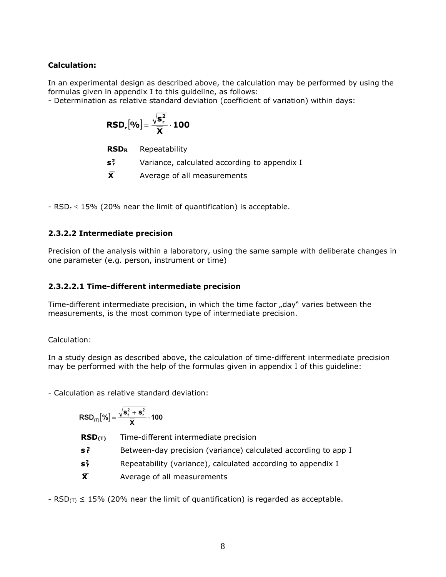# **Calculation:**

In an experimental design as described above, the calculation may be performed by using the formulas given in appendix I to this guideline, as follows:

- Determination as relative standard deviation (coefficient of variation) within days:

$$
\text{RSD}_r\big[\text{%}\big] = \frac{\sqrt{s_r^2}}{\overline{X}} \cdot \textbf{100}
$$

| <b>RSDR</b> | Repeatability |
|-------------|---------------|
|             |               |

**s 2 <sup>r</sup>** Variance, calculated according to appendix I

**X** Average of all measurements

-  $RSD_r \leq 15\%$  (20% near the limit of quantification) is acceptable.

# **2.3.2.2 Intermediate precision**

Precision of the analysis within a laboratory, using the same sample with deliberate changes in one parameter (e.g. person, instrument or time)

### **2.3.2.2.1 Time-different intermediate precision**

Time-different intermediate precision, in which the time factor "day" varies between the measurements, is the most common type of intermediate precision.

Calculation:

In a study design as described above, the calculation of time-different intermediate precision may be performed with the help of the formulas given in appendix I of this guideline:

- Calculation as relative standard deviation:

$$
\text{RSD}_{(T)}[\%] = \frac{\sqrt{s_t^2 + s_r^2}}{\overline{\textbf{X}}} \cdot 100
$$

**RSD(T)** Time-different intermediate precision

- **s 2 <sup>t</sup>** Between-day precision (variance) calculated according to app I
- **s 2 <sup>r</sup>** Repeatability (variance), calculated according to appendix I
- **X** Average of all measurements

- RSD( $T$ )  $\leq$  15% (20% near the limit of quantification) is regarded as acceptable.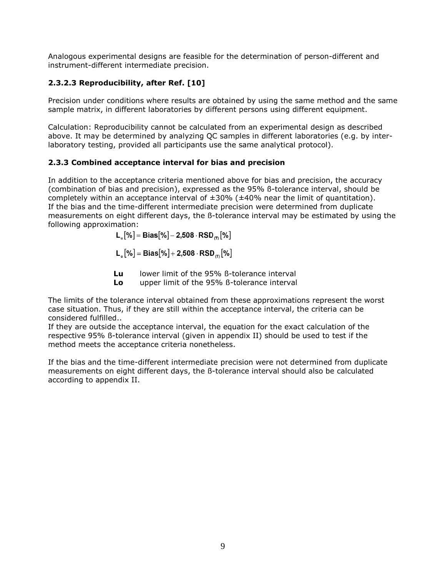Analogous experimental designs are feasible for the determination of person-different and instrument-different intermediate precision.

# **2.3.2.3 Reproducibility, after Ref. [10]**

Precision under conditions where results are obtained by using the same method and the same sample matrix, in different laboratories by different persons using different equipment.

Calculation: Reproducibility cannot be calculated from an experimental design as described above. It may be determined by analyzing QC samples in different laboratories (e.g. by interlaboratory testing, provided all participants use the same analytical protocol).

# **2.3.3 Combined acceptance interval for bias and precision**

In addition to the acceptance criteria mentioned above for bias and precision, the accuracy (combination of bias and precision), expressed as the 95% ß-tolerance interval, should be completely within an acceptance interval of  $\pm 30\%$  ( $\pm 40\%$  near the limit of quantitation). If the bias and the time-different intermediate precision were determined from duplicate measurements on eight different days, the ß-tolerance interval may be estimated by using the following approximation:

$$
\mathsf{L}_{_{\mathrm{u}}}[\%]\! = \mathsf{Bias}[\%]\! - \mathsf{2,508} \cdot \mathsf{RSD}_{_{(\mathrm{T})}}[\%]
$$

$$
L_{\circ}[\%] = Bias[\%] + 2,508 \cdot RSD_{\text{CD}}[\%]
$$

**Lu** lower limit of the 95% ß-tolerance interval

**Lo** upper limit of the 95% ß-tolerance interval

The limits of the tolerance interval obtained from these approximations represent the worst case situation. Thus, if they are still within the acceptance interval, the criteria can be considered fulfilled..

If they are outside the acceptance interval, the equation for the exact calculation of the respective 95% ß-tolerance interval (given in appendix II) should be used to test if the method meets the acceptance criteria nonetheless.

If the bias and the time-different intermediate precision were not determined from duplicate measurements on eight different days, the ß-tolerance interval should also be calculated according to appendix II.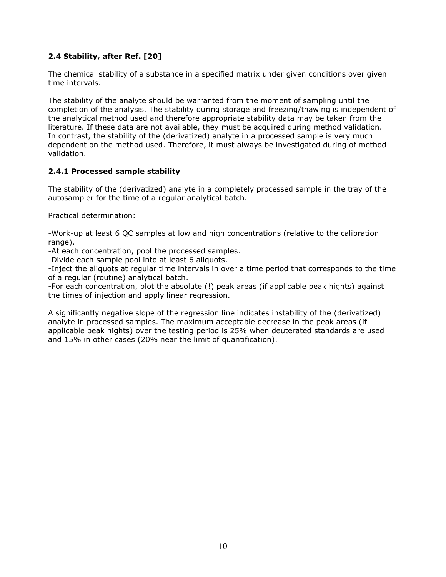# **2.4 Stability, after Ref. [20]**

The chemical stability of a substance in a specified matrix under given conditions over given time intervals.

The stability of the analyte should be warranted from the moment of sampling until the completion of the analysis. The stability during storage and freezing/thawing is independent of the analytical method used and therefore appropriate stability data may be taken from the literature. If these data are not available, they must be acquired during method validation. In contrast, the stability of the (derivatized) analyte in a processed sample is very much dependent on the method used. Therefore, it must always be investigated during of method validation.

#### **2.4.1 Processed sample stability**

The stability of the (derivatized) analyte in a completely processed sample in the tray of the autosampler for the time of a regular analytical batch.

Practical determination:

-Work-up at least 6 QC samples at low and high concentrations (relative to the calibration range).

-At each concentration, pool the processed samples.

-Divide each sample pool into at least 6 aliquots.

-Inject the aliquots at regular time intervals in over a time period that corresponds to the time of a regular (routine) analytical batch.

-For each concentration, plot the absolute (!) peak areas (if applicable peak hights) against the times of injection and apply linear regression.

A significantly negative slope of the regression line indicates instability of the (derivatized) analyte in processed samples. The maximum acceptable decrease in the peak areas (if applicable peak hights) over the testing period is 25% when deuterated standards are used and 15% in other cases (20% near the limit of quantification).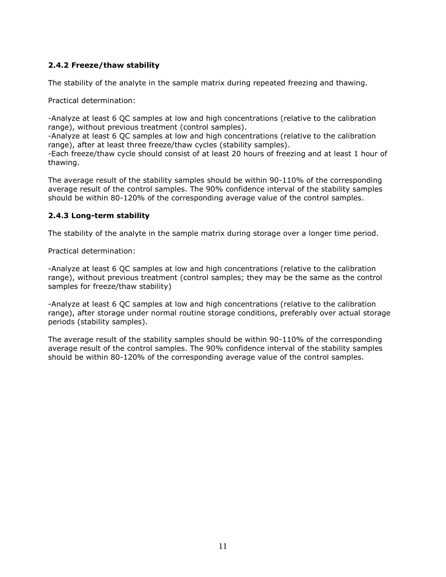# **2.4.2 Freeze/thaw stability**

The stability of the analyte in the sample matrix during repeated freezing and thawing.

Practical determination:

-Analyze at least 6 QC samples at low and high concentrations (relative to the calibration range), without previous treatment (control samples).

-Analyze at least 6 QC samples at low and high concentrations (relative to the calibration range), after at least three freeze/thaw cycles (stability samples).

-Each freeze/thaw cycle should consist of at least 20 hours of freezing and at least 1 hour of thawing.

The average result of the stability samples should be within 90-110% of the corresponding average result of the control samples. The 90% confidence interval of the stability samples should be within 80-120% of the corresponding average value of the control samples.

# **2.4.3 Long-term stability**

The stability of the analyte in the sample matrix during storage over a longer time period.

Practical determination:

-Analyze at least 6 QC samples at low and high concentrations (relative to the calibration range), without previous treatment (control samples; they may be the same as the control samples for freeze/thaw stability)

-Analyze at least 6 QC samples at low and high concentrations (relative to the calibration range), after storage under normal routine storage conditions, preferably over actual storage periods (stability samples).

The average result of the stability samples should be within 90-110% of the corresponding average result of the control samples. The 90% confidence interval of the stability samples should be within 80-120% of the corresponding average value of the control samples.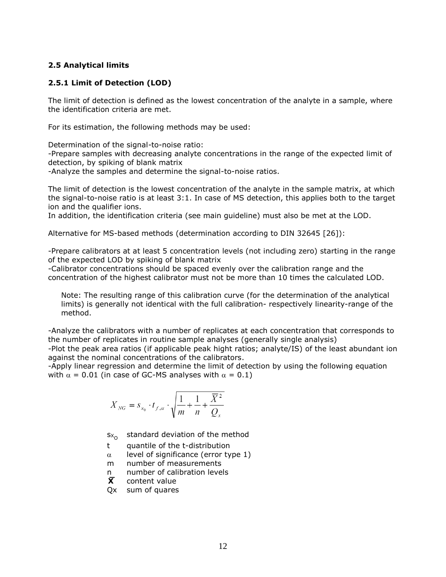#### **2.5 Analytical limits**

### **2.5.1 Limit of Detection (LOD)**

The limit of detection is defined as the lowest concentration of the analyte in a sample, where the identification criteria are met.

For its estimation, the following methods may be used:

Determination of the signal-to-noise ratio:

-Prepare samples with decreasing analyte concentrations in the range of the expected limit of detection, by spiking of blank matrix

-Analyze the samples and determine the signal-to-noise ratios.

The limit of detection is the lowest concentration of the analyte in the sample matrix, at which the signal-to-noise ratio is at least 3:1. In case of MS detection, this applies both to the target ion and the qualifier ions.

In addition, the identification criteria (see main guideline) must also be met at the LOD.

Alternative for MS-based methods (determination according to DIN 32645 [26]):

-Prepare calibrators at at least 5 concentration levels (not including zero) starting in the range of the expected LOD by spiking of blank matrix

-Calibrator concentrations should be spaced evenly over the calibration range and the concentration of the highest calibrator must not be more than 10 times the calculated LOD.

Note: The resulting range of this calibration curve (for the determination of the analytical limits) is generally not identical with the full calibration- respectively linearity-range of the method.

-Analyze the calibrators with a number of replicates at each concentration that corresponds to the number of replicates in routine sample analyses (generally single analysis)

-Plot the peak area ratios (if applicable peak hight ratios; analyte/IS) of the least abundant ion against the nominal concentrations of the calibrators.

-Apply linear regression and determine the limit of detection by using the following equation with  $\alpha = 0.01$  (in case of GC-MS analyses with  $\alpha = 0.1$ )

$$
X_{\scriptscriptstyle NG}=s_{\scriptscriptstyle x_0}\cdot t_{\scriptscriptstyle f,\alpha}\cdot\sqrt{\frac{1}{m}+\frac{1}{n}+\frac{{\overline X}\,^2}{Q_{\scriptscriptstyle x}}}
$$

 $Sx_{\Omega}$ standard deviation of the method

t quantile of the t-distribution

 $\alpha$  level of significance (error type 1)

m number of measurements

- n number of calibration levels<br> $\bar{x}$  content value
- **Content value**
- Qx sum of quares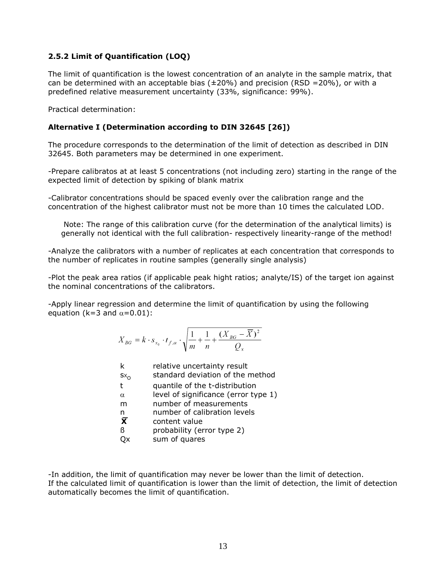# **2.5.2 Limit of Quantification (LOQ)**

The limit of quantification is the lowest concentration of an analyte in the sample matrix, that can be determined with an acceptable bias ( $\pm 20\%$ ) and precision (RSD =20%), or with a predefined relative measurement uncertainty (33%, significance: 99%).

Practical determination:

### **Alternative I (Determination according to DIN 32645 [26])**

The procedure corresponds to the determination of the limit of detection as described in DIN 32645. Both parameters may be determined in one experiment.

-Prepare calibratos at at least 5 concentrations (not including zero) starting in the range of the expected limit of detection by spiking of blank matrix

-Calibrator concentrations should be spaced evenly over the calibration range and the concentration of the highest calibrator must not be more than 10 times the calculated LOD.

Note: The range of this calibration curve (for the determination of the analytical limits) is generally not identical with the full calibration- respectively linearity-range of the method!

-Analyze the calibrators with a number of replicates at each concentration that corresponds to the number of replicates in routine samples (generally single analysis)

-Plot the peak area ratios (if applicable peak hight ratios; analyte/IS) of the target ion against the nominal concentrations of the calibrators.

-Apply linear regression and determine the limit of quantification by using the following equation (k=3 and  $\alpha$ =0.01):

$$
X_{BG} = k \cdot s_{x_0} \cdot t_{f,\alpha} \cdot \sqrt{\frac{1}{m} + \frac{1}{n} + \frac{(X_{BG} - \overline{X})^2}{Q_x}}
$$

| k<br>$s_{X_Q}$                                                | relative uncertainty result<br>standard deviation of the method                                                                                                                                  |
|---------------------------------------------------------------|--------------------------------------------------------------------------------------------------------------------------------------------------------------------------------------------------|
| $\mathbf{t}$<br>$\alpha$<br>m<br>n<br>$\bar{\mathbf{X}}$<br>ß | quantile of the t-distribution<br>level of significance (error type 1)<br>number of measurements<br>number of calibration levels<br>content value<br>probability (error type 2)<br>sum of quares |
|                                                               |                                                                                                                                                                                                  |

-In addition, the limit of quantification may never be lower than the limit of detection. If the calculated limit of quantification is lower than the limit of detection, the limit of detection automatically becomes the limit of quantification.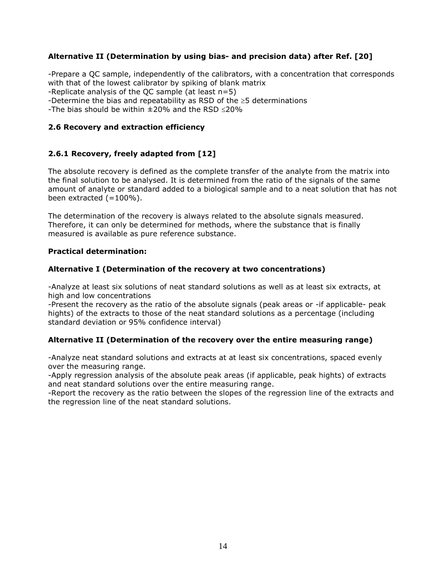# **Alternative II (Determination by using bias- and precision data) after Ref. [20]**

-Prepare a QC sample, independently of the calibrators, with a concentration that corresponds with that of the lowest calibrator by spiking of blank matrix -Replicate analysis of the QC sample (at least n=5) -Determine the bias and repeatability as RSD of the  $\geq$ 5 determinations

-The bias should be within  $\pm 20\%$  and the RSD  $\leq 20\%$ 

#### **2.6 Recovery and extraction efficiency**

#### **2.6.1 Recovery, freely adapted from [12]**

The absolute recovery is defined as the complete transfer of the analyte from the matrix into the final solution to be analysed. It is determined from the ratio of the signals of the same amount of analyte or standard added to a biological sample and to a neat solution that has not been extracted  $(=100\%)$ .

The determination of the recovery is always related to the absolute signals measured. Therefore, it can only be determined for methods, where the substance that is finally measured is available as pure reference substance.

#### **Practical determination:**

#### **Alternative I (Determination of the recovery at two concentrations)**

-Analyze at least six solutions of neat standard solutions as well as at least six extracts, at high and low concentrations

-Present the recovery as the ratio of the absolute signals (peak areas or -if applicable- peak hights) of the extracts to those of the neat standard solutions as a percentage (including standard deviation or 95% confidence interval)

#### **Alternative II (Determination of the recovery over the entire measuring range)**

-Analyze neat standard solutions and extracts at at least six concentrations, spaced evenly over the measuring range.

-Apply regression analysis of the absolute peak areas (if applicable, peak hights) of extracts and neat standard solutions over the entire measuring range.

-Report the recovery as the ratio between the slopes of the regression line of the extracts and the regression line of the neat standard solutions.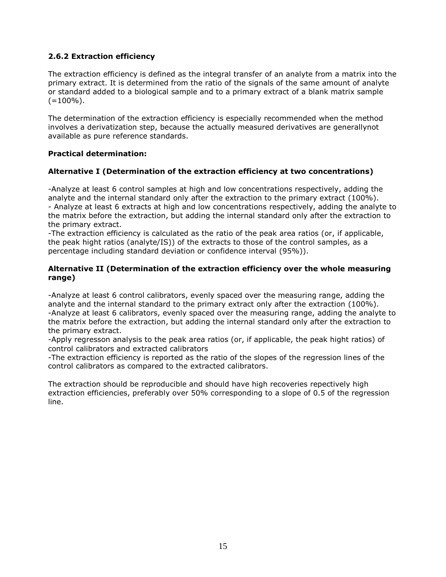# **2.6.2 Extraction efficiency**

The extraction efficiency is defined as the integral transfer of an analyte from a matrix into the primary extract. It is determined from the ratio of the signals of the same amount of analyte or standard added to a biological sample and to a primary extract of a blank matrix sample  $(=100\%)$ .

The determination of the extraction efficiency is especially recommended when the method involves a derivatization step, because the actually measured derivatives are generallynot available as pure reference standards.

#### **Practical determination:**

#### **Alternative I (Determination of the extraction efficiency at two concentrations)**

-Analyze at least 6 control samples at high and low concentrations respectively, adding the analyte and the internal standard only after the extraction to the primary extract (100%). - Analyze at least 6 extracts at high and low concentrations respectively, adding the analyte to the matrix before the extraction, but adding the internal standard only after the extraction to the primary extract.

-The extraction efficiency is calculated as the ratio of the peak area ratios (or, if applicable, the peak hight ratios (analyte/IS)) of the extracts to those of the control samples, as a percentage including standard deviation or confidence interval (95%)).

#### **Alternative II (Determination of the extraction efficiency over the whole measuring range)**

-Analyze at least 6 control calibrators, evenly spaced over the measuring range, adding the analyte and the internal standard to the primary extract only after the extraction (100%). -Analyze at least 6 calibrators, evenly spaced over the measuring range, adding the analyte to the matrix before the extraction, but adding the internal standard only after the extraction to the primary extract.

-Apply regresson analysis to the peak area ratios (or, if applicable, the peak hight ratios) of control calibrators and extracted calibrators

-The extraction efficiency is reported as the ratio of the slopes of the regression lines of the control calibrators as compared to the extracted calibrators.

The extraction should be reproducible and should have high recoveries repectively high extraction efficiencies, preferably over 50% corresponding to a slope of 0.5 of the regression line.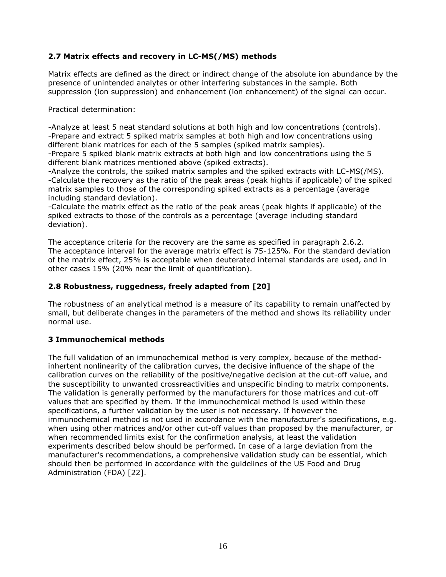# **2.7 Matrix effects and recovery in LC-MS(/MS) methods**

Matrix effects are defined as the direct or indirect change of the absolute ion abundance by the presence of unintended analytes or other interfering substances in the sample. Both suppression (ion suppression) and enhancement (ion enhancement) of the signal can occur.

Practical determination:

-Analyze at least 5 neat standard solutions at both high and low concentrations (controls). -Prepare and extract 5 spiked matrix samples at both high and low concentrations using different blank matrices for each of the 5 samples (spiked matrix samples).

-Prepare 5 spiked blank matrix extracts at both high and low concentrations using the 5 different blank matrices mentioned above (spiked extracts).

-Analyze the controls, the spiked matrix samples and the spiked extracts with LC-MS(/MS). -Calculate the recovery as the ratio of the peak areas (peak hights if applicable) of the spiked matrix samples to those of the corresponding spiked extracts as a percentage (average including standard deviation).

-Calculate the matrix effect as the ratio of the peak areas (peak hights if applicable) of the spiked extracts to those of the controls as a percentage (average including standard deviation).

The acceptance criteria for the recovery are the same as specified in paragraph 2.6.2. The acceptance interval for the average matrix effect is 75-125%. For the standard deviation of the matrix effect, 25% is acceptable when deuterated internal standards are used, and in other cases 15% (20% near the limit of quantification).

# **2.8 Robustness, ruggedness, freely adapted from [20]**

The robustness of an analytical method is a measure of its capability to remain unaffected by small, but deliberate changes in the parameters of the method and shows its reliability under normal use.

#### **3 Immunochemical methods**

The full validation of an immunochemical method is very complex, because of the methodinhertent nonlinearity of the calibration curves, the decisive influence of the shape of the calibration curves on the reliability of the positive/negative decision at the cut-off value, and the susceptibility to unwanted crossreactivities and unspecific binding to matrix components. The validation is generally performed by the manufacturers for those matrices and cut-off values that are specified by them. If the immunochemical method is used within these specifications, a further validation by the user is not necessary. If however the immunochemical method is not used in accordance with the manufacturer's specifications, e.g. when using other matrices and/or other cut-off values than proposed by the manufacturer, or when recommended limits exist for the confirmation analysis, at least the validation experiments described below should be performed. In case of a large deviation from the manufacturer's recommendations, a comprehensive validation study can be essential, which should then be performed in accordance with the guidelines of the US Food and Drug Administration (FDA) [22].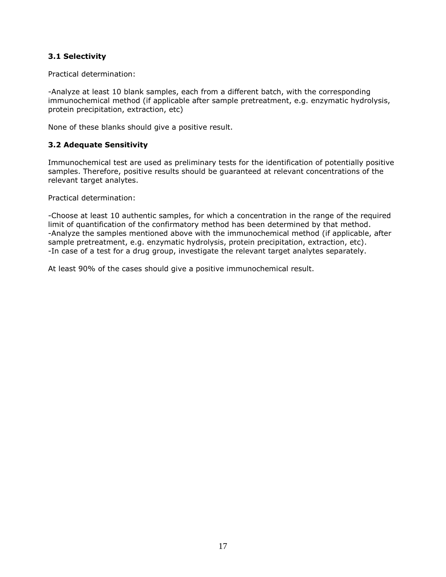# **3.1 Selectivity**

Practical determination:

-Analyze at least 10 blank samples, each from a different batch, with the corresponding immunochemical method (if applicable after sample pretreatment, e.g. enzymatic hydrolysis, protein precipitation, extraction, etc)

None of these blanks should give a positive result.

# **3.2 Adequate Sensitivity**

Immunochemical test are used as preliminary tests for the identification of potentially positive samples. Therefore, positive results should be guaranteed at relevant concentrations of the relevant target analytes.

Practical determination:

-Choose at least 10 authentic samples, for which a concentration in the range of the required limit of quantification of the confirmatory method has been determined by that method. -Analyze the samples mentioned above with the immunochemical method (if applicable, after sample pretreatment, e.g. enzymatic hydrolysis, protein precipitation, extraction, etc). -In case of a test for a drug group, investigate the relevant target analytes separately.

At least 90% of the cases should give a positive immunochemical result.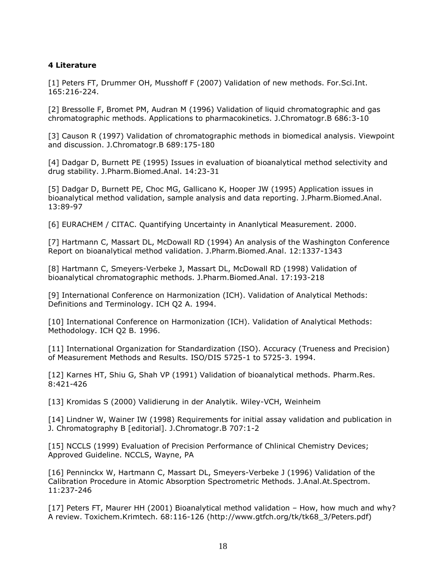# **4 Literature**

[1] Peters FT, Drummer OH, Musshoff F (2007) Validation of new methods. For.Sci.Int. 165:216-224.

[2] Bressolle F, Bromet PM, Audran M (1996) Validation of liquid chromatographic and gas chromatographic methods. Applications to pharmacokinetics. J.Chromatogr.B 686:3-10

[3] Causon R (1997) Validation of chromatographic methods in biomedical analysis. Viewpoint and discussion. J.Chromatogr.B 689:175-180

[4] Dadgar D, Burnett PE (1995) Issues in evaluation of bioanalytical method selectivity and drug stability. J.Pharm.Biomed.Anal. 14:23-31

[5] Dadgar D, Burnett PE, Choc MG, Gallicano K, Hooper JW (1995) Application issues in bioanalytical method validation, sample analysis and data reporting. J.Pharm.Biomed.Anal. 13:89-97

[6] EURACHEM / CITAC. Quantifying Uncertainty in Ananlytical Measurement. 2000.

[7] Hartmann C, Massart DL, McDowall RD (1994) An analysis of the Washington Conference Report on bioanalytical method validation. J.Pharm.Biomed.Anal. 12:1337-1343

[8] Hartmann C, Smeyers-Verbeke J, Massart DL, McDowall RD (1998) Validation of bioanalytical chromatographic methods. J.Pharm.Biomed.Anal. 17:193-218

[9] International Conference on Harmonization (ICH). Validation of Analytical Methods: Definitions and Terminology. ICH Q2 A. 1994.

[10] International Conference on Harmonization (ICH). Validation of Analytical Methods: Methodology. ICH Q2 B. 1996.

[11] International Organization for Standardization (ISO). Accuracy (Trueness and Precision) of Measurement Methods and Results. ISO/DIS 5725-1 to 5725-3. 1994.

[12] Karnes HT, Shiu G, Shah VP (1991) Validation of bioanalytical methods. Pharm.Res. 8:421-426

[13] Kromidas S (2000) Validierung in der Analytik. Wiley-VCH, Weinheim

[14] Lindner W, Wainer IW (1998) Requirements for initial assay validation and publication in J. Chromatography B [editorial]. J.Chromatogr.B 707:1-2

[15] NCCLS (1999) Evaluation of Precision Performance of Chlinical Chemistry Devices; Approved Guideline. NCCLS, Wayne, PA

[16] Penninckx W, Hartmann C, Massart DL, Smeyers-Verbeke J (1996) Validation of the Calibration Procedure in Atomic Absorption Spectrometric Methods. J.Anal.At.Spectrom. 11:237-246

[17] Peters FT, Maurer HH (2001) Bioanalytical method validation – How, how much and why? A review. Toxichem.Krimtech. 68:116-126 (http://www.gtfch.org/tk/tk68\_3/Peters.pdf)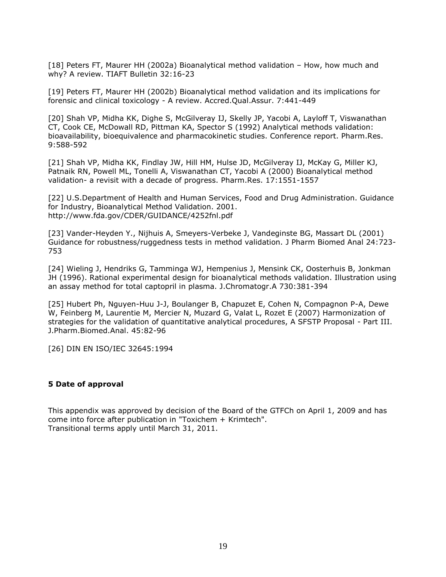[18] Peters FT, Maurer HH (2002a) Bioanalytical method validation – How, how much and why? A review. TIAFT Bulletin 32:16-23

[19] Peters FT, Maurer HH (2002b) Bioanalytical method validation and its implications for forensic and clinical toxicology - A review. Accred.Qual.Assur. 7:441-449

[20] Shah VP, Midha KK, Dighe S, McGilveray IJ, Skelly JP, Yacobi A, Layloff T, Viswanathan CT, Cook CE, McDowall RD, Pittman KA, Spector S (1992) Analytical methods validation: bioavailability, bioequivalence and pharmacokinetic studies. Conference report. Pharm.Res. 9:588-592

[21] Shah VP, Midha KK, Findlay JW, Hill HM, Hulse JD, McGilveray IJ, McKay G, Miller KJ, Patnaik RN, Powell ML, Tonelli A, Viswanathan CT, Yacobi A (2000) Bioanalytical method validation- a revisit with a decade of progress. Pharm.Res. 17:1551-1557

[22] U.S.Department of Health and Human Services, Food and Drug Administration. Guidance for Industry, Bioanalytical Method Validation. 2001. http://www.fda.gov/CDER/GUIDANCE/4252fnl.pdf

[23] Vander-Heyden Y., Nijhuis A, Smeyers-Verbeke J, Vandeginste BG, Massart DL (2001) Guidance for robustness/ruggedness tests in method validation. J Pharm Biomed Anal 24:723- 753

[24] Wieling J, Hendriks G, Tamminga WJ, Hempenius J, Mensink CK, Oosterhuis B, Jonkman JH (1996). Rational experimental design for bioanalytical methods validation. Illustration using an assay method for total captopril in plasma. J.Chromatogr.A 730:381-394

[25] Hubert Ph, Nguyen-Huu J-J, Boulanger B, Chapuzet E, Cohen N, Compagnon P-A, Dewe W, Feinberg M, Laurentie M, Mercier N, Muzard G, Valat L, Rozet E (2007) Harmonization of strategies for the validation of quantitative analytical procedures, A SFSTP Proposal - Part III. J.Pharm.Biomed.Anal. 45:82-96

[26] DIN EN ISO/IEC 32645:1994

#### **5 Date of approval**

This appendix was approved by decision of the Board of the GTFCh on April 1, 2009 and has come into force after publication in "Toxichem + Krimtech". Transitional terms apply until March 31, 2011.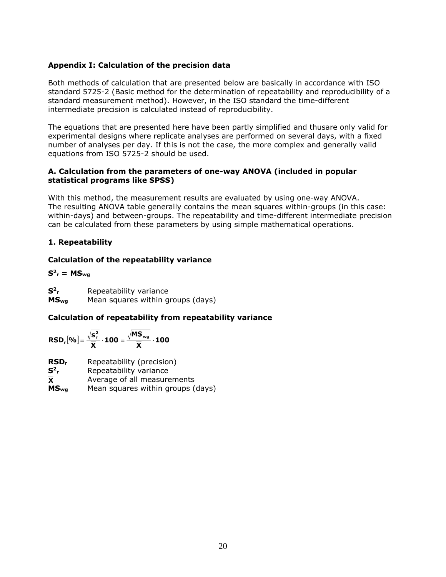### **Appendix I: Calculation of the precision data**

Both methods of calculation that are presented below are basically in accordance with ISO standard 5725-2 (Basic method for the determination of repeatability and reproducibility of a standard measurement method). However, in the ISO standard the time-different intermediate precision is calculated instead of reproducibility.

The equations that are presented here have been partly simplified and thusare only valid for experimental designs where replicate analyses are performed on several days, with a fixed number of analyses per day. If this is not the case, the more complex and generally valid equations from ISO 5725-2 should be used.

#### **A. Calculation from the parameters of one-way ANOVA (included in popular statistical programs like SPSS)**

With this method, the measurement results are evaluated by using one-way ANOVA. The resulting ANOVA table generally contains the mean squares within-groups (in this case: within-days) and between-groups. The repeatability and time-different intermediate precision can be calculated from these parameters by using simple mathematical operations.

# **1. Repeatability**

# **Calculation of the repeatability variance**

# $S^2$ <sub>r</sub> = MS<sub>wg</sub>

**S<sup>2</sup> <sup>r</sup>** Repeatability variance **MSwg** Mean squares within groups (days)

# **Calculation of repeatability from repeatability variance**

$$
\text{RSD}_r[%] = \frac{\sqrt{s_r^2}}{\overline{X}} \cdot 100 = \frac{\sqrt{\text{MS}_{wg}}}{\overline{X}} \cdot 100
$$

**RSD<sup>r</sup>** Repeatability (precision)

**S<sup>2</sup> <sup>r</sup>** Repeatability variance

Average of all measurements  $\overline{\mathbf{x}}$ 

**MSwg** Mean squares within groups (days)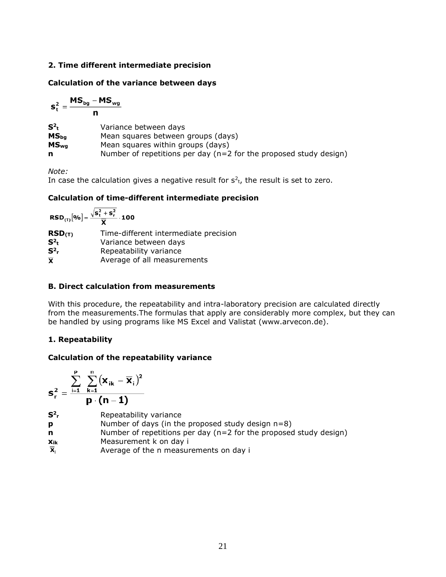### **2. Time different intermediate precision**

#### **Calculation of the variance between days**

$$
s_t^2 = \frac{MS_{bg} - MS_{wg}}{n}
$$
\n
$$
S_{tb}^2
$$
\n
$$
MS_{bg}
$$
\n
$$
MS_{bg}
$$
\nMean squares between groups (days)  
\n
$$
MS_{wg}
$$
\nMean squares within groups (days)  
\n
$$
N = \frac{1}{2}
$$
\nNumber of repetitions per day (n=2 for the proposed study design)

*Note:*

In case the calculation gives a negative result for  $s^2$ <sub>t</sub>, the result is set to zero.

# **Calculation of time-different intermediate precision**

| $\text{RSD}_{(T)}[%] = \frac{\sqrt{s_t^2 + s_r^2}}{\overline{x}} \cdot 100$ |                                       |
|-----------------------------------------------------------------------------|---------------------------------------|
| RSD(T)                                                                      | Time-different intermediate precision |
| $S^2_t$                                                                     | Variance between days                 |
| $S^2$ <sub>r</sub>                                                          | Repeatability variance                |
| $\overline{\mathbf{x}}$                                                     | Average of all measurements           |

# **B. Direct calculation from measurements**

With this procedure, the repeatability and intra-laboratory precision are calculated directly from the measurements.The formulas that apply are considerably more complex, but they can be handled by using programs like MS Excel and Valistat (www.arvecon.de).

# **1. Repeatability**

# **Calculation of the repeatability variance**

$$
\textbf{s}_\mathrm{r}^2 = \frac{\sum\limits_{\mathrm{i=1}}^{\mathrm{p}}\;\sum\limits_{\mathrm{k=1}}^{\mathrm{n}}\big(\textbf{x}_{\mathrm{i}\mathrm{k}}-\overline{\textbf{x}}_{\mathrm{i}}\big)^2}{\textbf{p}\cdot\big(\textbf{n}-\textbf{1}\big)}
$$

| $\mathbf{S}^2$ r | Repeatability variance |  |
|------------------|------------------------|--|
|                  |                        |  |

- **p** Number of days (in the proposed study design n=8)
- **n** Number of repetitions per day (n=2 for the proposed study design)
- **xik** Measurement k on day i
- $\overline{\mathbf{X}}$ Average of the n measurements on day i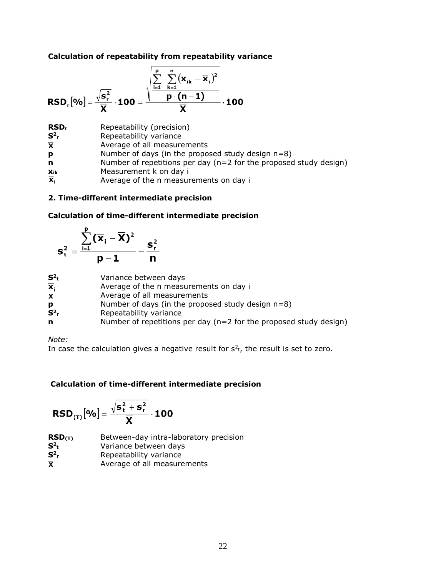#### **Calculation of repeatability from repeatability variance**

$$
RSDr[%]=\frac{\sqrt{s_r^2}}{\overline{X}}\cdot 100=\frac{\sqrt{\sum_{i=1}^{p}\sum_{k=1}^{n}(x_{ik}-\overline{x}_i)^2}}{\overline{X}}\cdot 100
$$

| RSD <sub>r</sub>          | Repeatability (precision)                                            |
|---------------------------|----------------------------------------------------------------------|
| $S^2$ <sub>r</sub>        | Repeatability variance                                               |
| $\overline{\mathbf{X}}$   | Average of all measurements                                          |
| p                         | Number of days (in the proposed study design $n=8$ )                 |
| n                         | Number of repetitions per day ( $n=2$ for the proposed study design) |
| Xik                       | Measurement k on day i                                               |
| $\overline{\mathbf{x}}_i$ | Average of the n measurements on day i                               |

# **2. Time-different intermediate precision**

#### **Calculation of time-different intermediate precision**

$$
s_t^2 = \frac{\sum_{i=1}^p (\overline{x}_i - \overline{x})^2}{p-1} - \frac{s_r^2}{n}
$$

| $S^2$                     | Variance between days                                                |
|---------------------------|----------------------------------------------------------------------|
| $\overline{\mathbf{x}}_i$ | Average of the n measurements on day i                               |
|                           | Average of all measurements                                          |
| p                         | Number of days (in the proposed study design $n=8$ )                 |
| $S^2$                     | Repeatability variance                                               |
| n                         | Number of repetitions per day ( $n=2$ for the proposed study design) |
|                           |                                                                      |

*Note:*

In case the calculation gives a negative result for  $s<sup>2</sup>$ <sub>t</sub>, the result is set to zero.

# **Calculation of time-different intermediate precision**

$$
\text{RSD}_{(\text{T})}\big[\text{%}\big] = \frac{\sqrt{s_t^2+s_r^2}}{\overline{X}}\cdot\textbf{100}
$$

**RSD(T)** Between-day intra-laboratory precision **S<sup>2</sup>** Variance between days  $S^2$ <sub>r</sub> **<sup>r</sup>** Repeatability variance Average of all measurements $\overline{\mathbf{x}}$